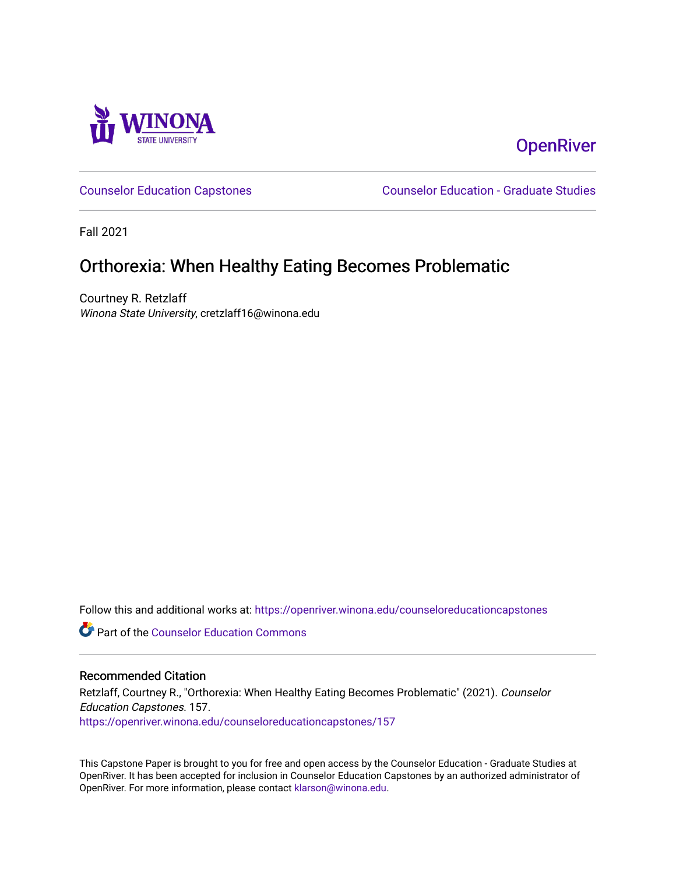

# **OpenRiver**

[Counselor Education Capstones](https://openriver.winona.edu/counseloreducationcapstones) [Counselor Education - Graduate Studies](https://openriver.winona.edu/counseloreducation) 

Fall 2021

## Orthorexia: When Healthy Eating Becomes Problematic

Courtney R. Retzlaff Winona State University, cretzlaff16@winona.edu

Follow this and additional works at: [https://openriver.winona.edu/counseloreducationcapstones](https://openriver.winona.edu/counseloreducationcapstones?utm_source=openriver.winona.edu%2Fcounseloreducationcapstones%2F157&utm_medium=PDF&utm_campaign=PDFCoverPages)

**C** Part of the Counselor Education Commons

#### Recommended Citation

Retzlaff, Courtney R., "Orthorexia: When Healthy Eating Becomes Problematic" (2021). Counselor Education Capstones. 157. [https://openriver.winona.edu/counseloreducationcapstones/157](https://openriver.winona.edu/counseloreducationcapstones/157?utm_source=openriver.winona.edu%2Fcounseloreducationcapstones%2F157&utm_medium=PDF&utm_campaign=PDFCoverPages)

This Capstone Paper is brought to you for free and open access by the Counselor Education - Graduate Studies at OpenRiver. It has been accepted for inclusion in Counselor Education Capstones by an authorized administrator of OpenRiver. For more information, please contact [klarson@winona.edu](mailto:klarson@winona.edu).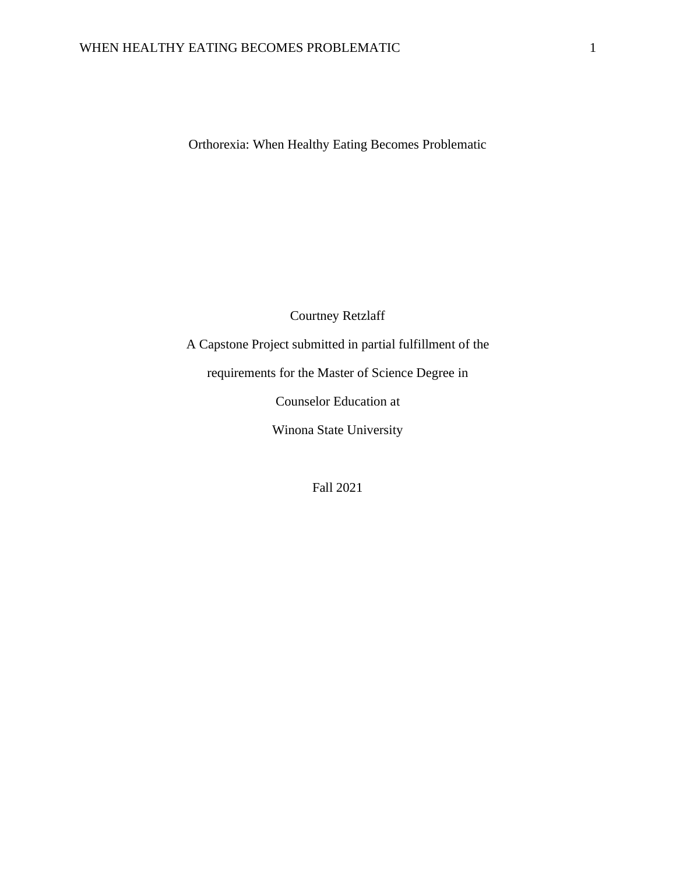Orthorexia: When Healthy Eating Becomes Problematic

Courtney Retzlaff

A Capstone Project submitted in partial fulfillment of the

requirements for the Master of Science Degree in

Counselor Education at

Winona State University

Fall 2021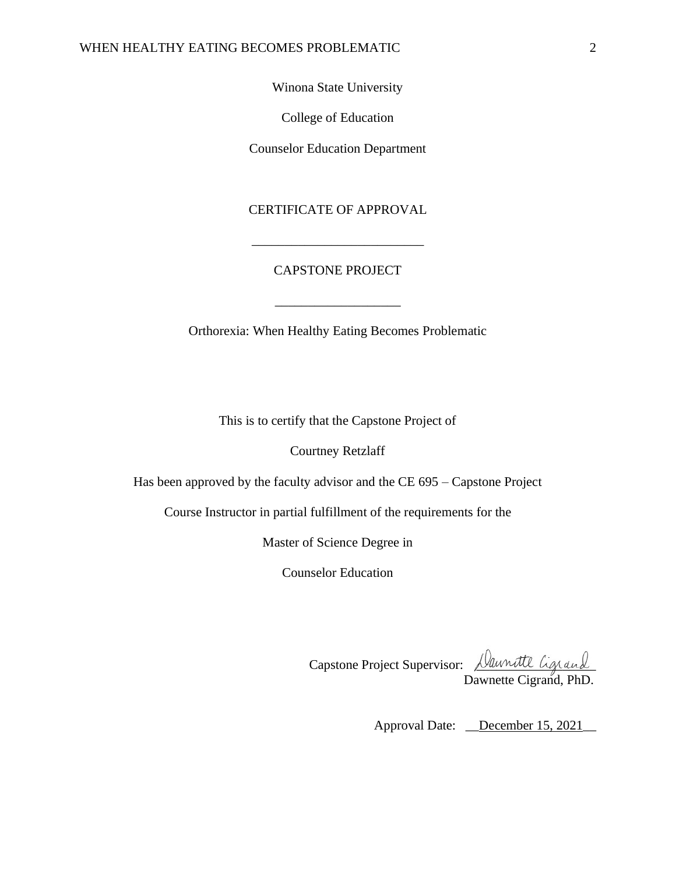Winona State University

College of Education

Counselor Education Department

## CERTIFICATE OF APPROVAL

## CAPSTONE PROJECT

\_\_\_\_\_\_\_\_\_\_\_\_\_\_\_\_\_\_\_

\_\_\_\_\_\_\_\_\_\_\_\_\_\_\_\_\_\_\_\_\_\_\_\_\_\_

Orthorexia: When Healthy Eating Becomes Problematic

This is to certify that the Capstone Project of

Courtney Retzlaff

Has been approved by the faculty advisor and the CE 695 – Capstone Project

Course Instructor in partial fulfillment of the requirements for the

Master of Science Degree in

Counselor Education

Capstone Project Supervisor: <u>Daunatte Ligrand</u> Dawnette Cigrand, PhD.

Approval Date: <u>December 15, 2021</u>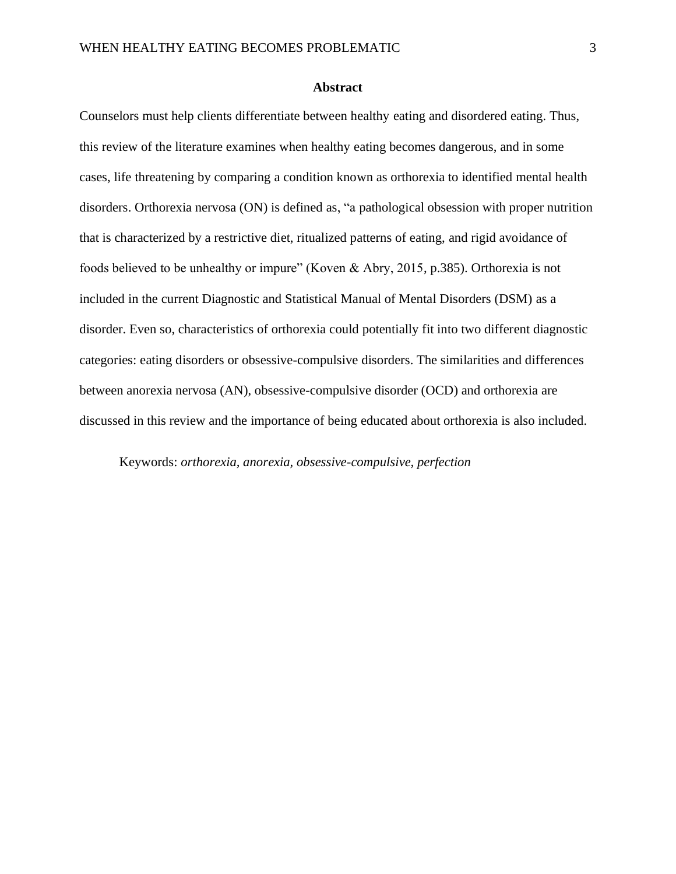## **Abstract**

Counselors must help clients differentiate between healthy eating and disordered eating. Thus, this review of the literature examines when healthy eating becomes dangerous, and in some cases, life threatening by comparing a condition known as orthorexia to identified mental health disorders. Orthorexia nervosa (ON) is defined as, "a pathological obsession with proper nutrition that is characterized by a restrictive diet, ritualized patterns of eating, and rigid avoidance of foods believed to be unhealthy or impure" (Koven & Abry, 2015, p.385). Orthorexia is not included in the current Diagnostic and Statistical Manual of Mental Disorders (DSM) as a disorder. Even so, characteristics of orthorexia could potentially fit into two different diagnostic categories: eating disorders or obsessive-compulsive disorders. The similarities and differences between anorexia nervosa (AN), obsessive-compulsive disorder (OCD) and orthorexia are discussed in this review and the importance of being educated about orthorexia is also included.

Keywords: *orthorexia, anorexia, obsessive-compulsive, perfection*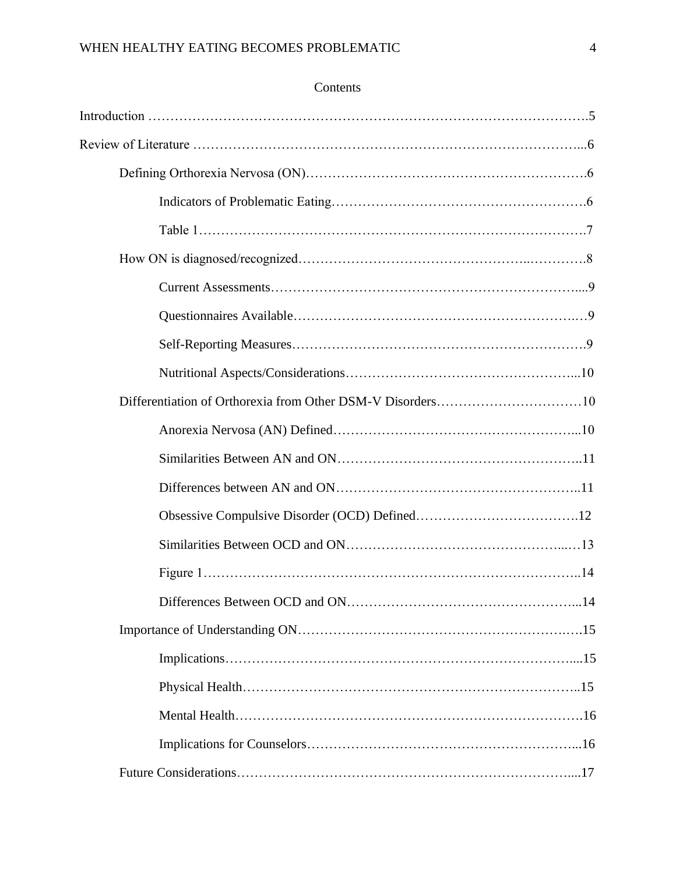| Contents |
|----------|
|----------|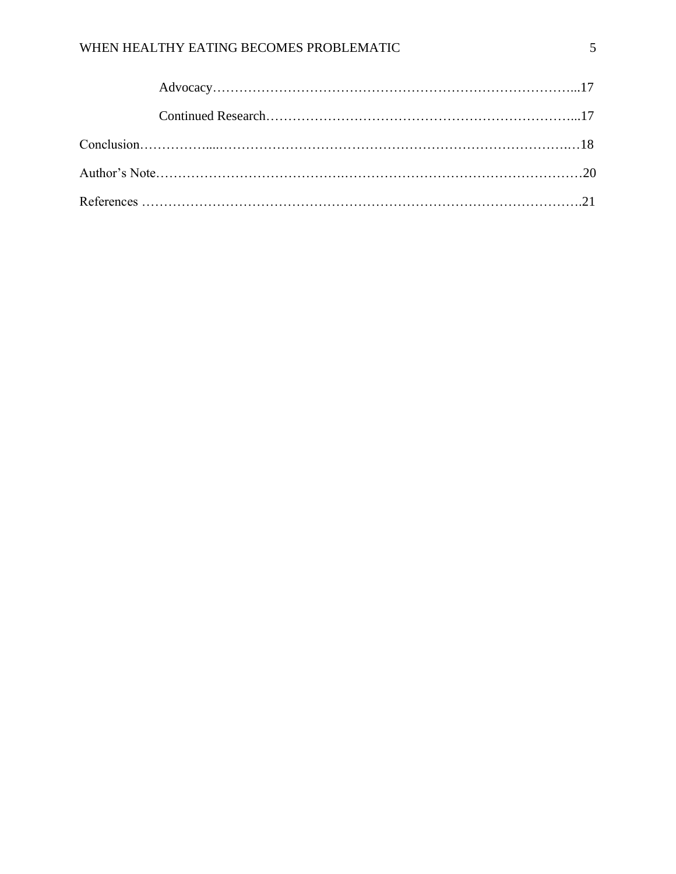## WHEN HEALTHY EATING BECOMES PROBLEMATIC 5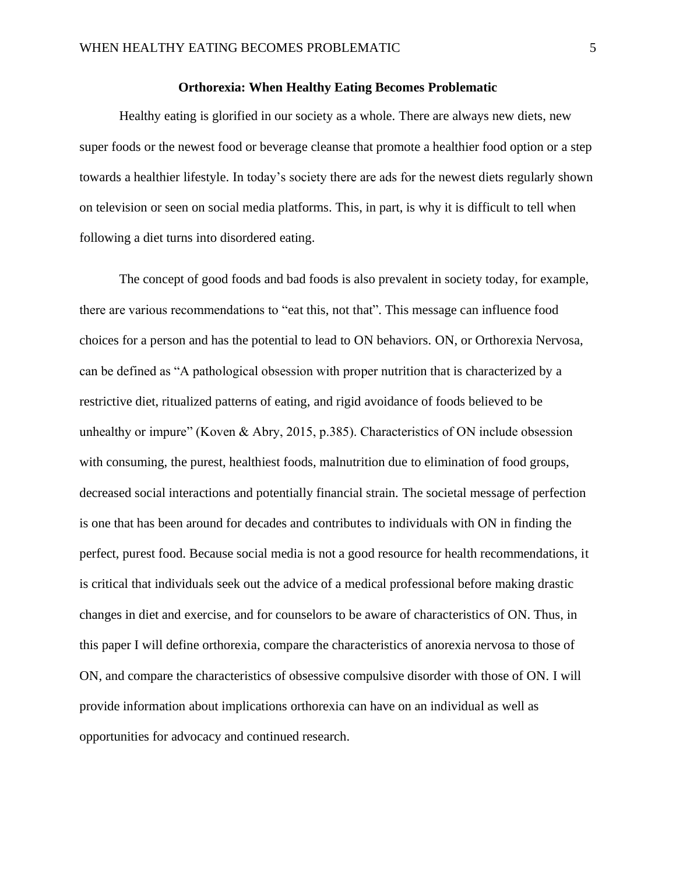### **Orthorexia: When Healthy Eating Becomes Problematic**

Healthy eating is glorified in our society as a whole. There are always new diets, new super foods or the newest food or beverage cleanse that promote a healthier food option or a step towards a healthier lifestyle. In today's society there are ads for the newest diets regularly shown on television or seen on social media platforms. This, in part, is why it is difficult to tell when following a diet turns into disordered eating.

The concept of good foods and bad foods is also prevalent in society today, for example, there are various recommendations to "eat this, not that". This message can influence food choices for a person and has the potential to lead to ON behaviors. ON, or Orthorexia Nervosa, can be defined as "A pathological obsession with proper nutrition that is characterized by a restrictive diet, ritualized patterns of eating, and rigid avoidance of foods believed to be unhealthy or impure" (Koven & Abry, 2015, p.385). Characteristics of ON include obsession with consuming, the purest, healthiest foods, malnutrition due to elimination of food groups, decreased social interactions and potentially financial strain. The societal message of perfection is one that has been around for decades and contributes to individuals with ON in finding the perfect, purest food. Because social media is not a good resource for health recommendations, it is critical that individuals seek out the advice of a medical professional before making drastic changes in diet and exercise, and for counselors to be aware of characteristics of ON. Thus, in this paper I will define orthorexia, compare the characteristics of anorexia nervosa to those of ON, and compare the characteristics of obsessive compulsive disorder with those of ON. I will provide information about implications orthorexia can have on an individual as well as opportunities for advocacy and continued research.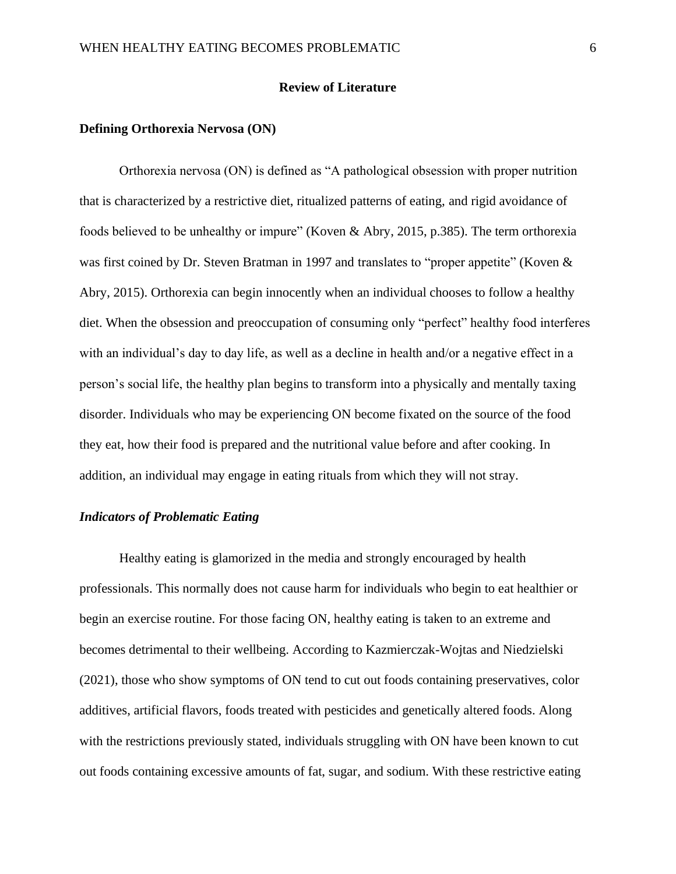#### **Review of Literature**

#### **Defining Orthorexia Nervosa (ON)**

Orthorexia nervosa (ON) is defined as "A pathological obsession with proper nutrition that is characterized by a restrictive diet, ritualized patterns of eating, and rigid avoidance of foods believed to be unhealthy or impure" (Koven & Abry, 2015, p.385). The term orthorexia was first coined by Dr. Steven Bratman in 1997 and translates to "proper appetite" (Koven & Abry, 2015). Orthorexia can begin innocently when an individual chooses to follow a healthy diet. When the obsession and preoccupation of consuming only "perfect" healthy food interferes with an individual's day to day life, as well as a decline in health and/or a negative effect in a person's social life, the healthy plan begins to transform into a physically and mentally taxing disorder. Individuals who may be experiencing ON become fixated on the source of the food they eat, how their food is prepared and the nutritional value before and after cooking. In addition, an individual may engage in eating rituals from which they will not stray.

### *Indicators of Problematic Eating*

Healthy eating is glamorized in the media and strongly encouraged by health professionals. This normally does not cause harm for individuals who begin to eat healthier or begin an exercise routine. For those facing ON, healthy eating is taken to an extreme and becomes detrimental to their wellbeing. According to Kazmierczak-Wojtas and Niedzielski (2021), those who show symptoms of ON tend to cut out foods containing preservatives, color additives, artificial flavors, foods treated with pesticides and genetically altered foods. Along with the restrictions previously stated, individuals struggling with ON have been known to cut out foods containing excessive amounts of fat, sugar, and sodium. With these restrictive eating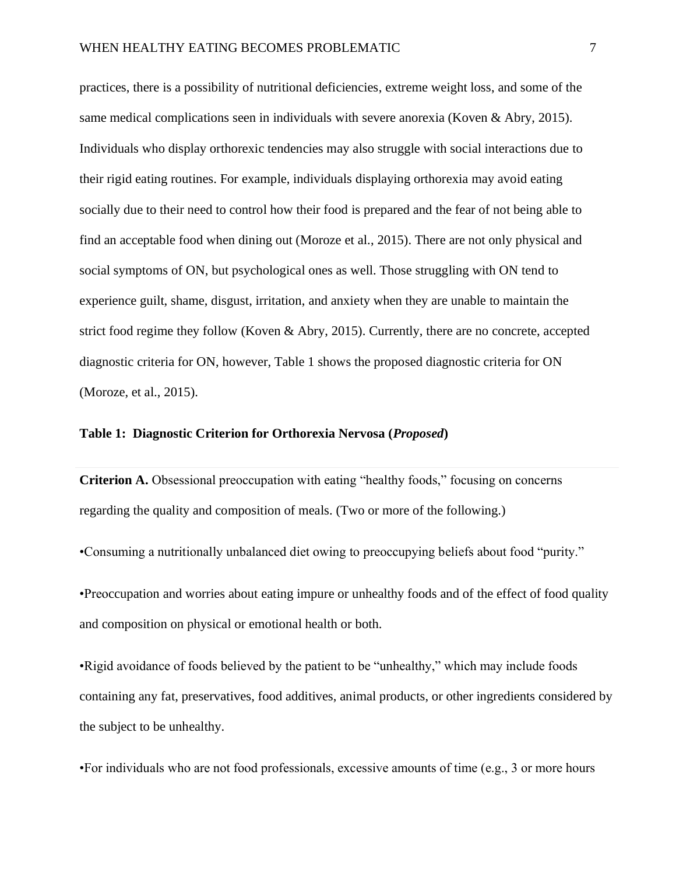practices, there is a possibility of nutritional deficiencies, extreme weight loss, and some of the same medical complications seen in individuals with severe anorexia (Koven & Abry, 2015). Individuals who display orthorexic tendencies may also struggle with social interactions due to their rigid eating routines. For example, individuals displaying orthorexia may avoid eating socially due to their need to control how their food is prepared and the fear of not being able to find an acceptable food when dining out (Moroze et al., 2015). There are not only physical and social symptoms of ON, but psychological ones as well. Those struggling with ON tend to experience guilt, shame, disgust, irritation, and anxiety when they are unable to maintain the strict food regime they follow (Koven & Abry, 2015). Currently, there are no concrete, accepted diagnostic criteria for ON, however, Table 1 shows the proposed diagnostic criteria for ON (Moroze, et al., 2015).

#### **Table 1: Diagnostic Criterion for Orthorexia Nervosa (***Proposed***)**

**Criterion A.** Obsessional preoccupation with eating "healthy foods," focusing on concerns regarding the quality and composition of meals. (Two or more of the following.)

•Consuming a nutritionally unbalanced diet owing to preoccupying beliefs about food "purity."

•Preoccupation and worries about eating impure or unhealthy foods and of the effect of food quality and composition on physical or emotional health or both.

•Rigid avoidance of foods believed by the patient to be "unhealthy," which may include foods containing any fat, preservatives, food additives, animal products, or other ingredients considered by the subject to be unhealthy.

•For individuals who are not food professionals, excessive amounts of time (e.g., 3 or more hours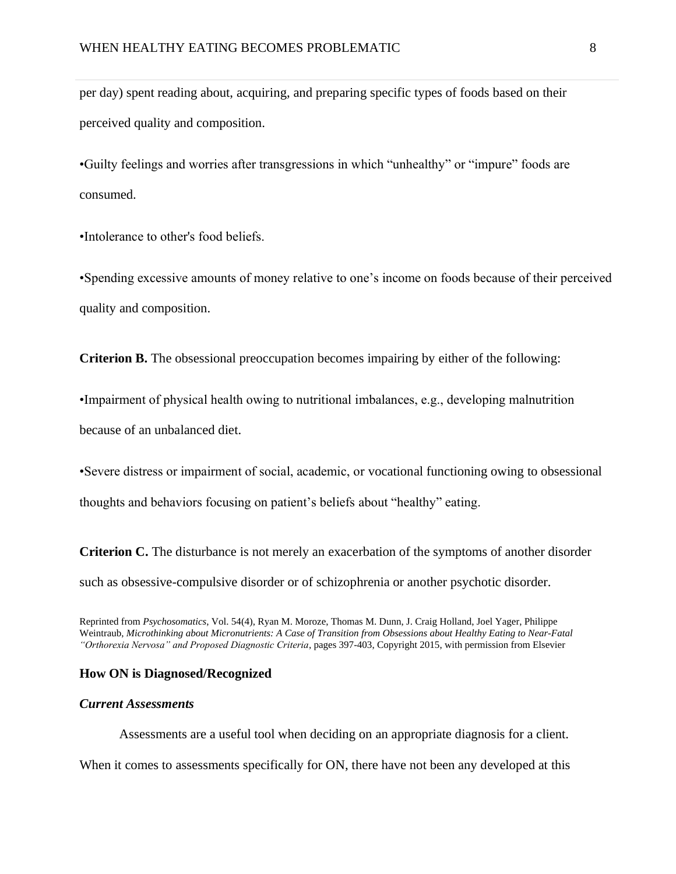per day) spent reading about, acquiring, and preparing specific types of foods based on their perceived quality and composition.

•Guilty feelings and worries after transgressions in which "unhealthy" or "impure" foods are consumed.

•Intolerance to other's food beliefs.

•Spending excessive amounts of money relative to one's income on foods because of their perceived quality and composition.

**Criterion B.** The obsessional preoccupation becomes impairing by either of the following:

•Impairment of physical health owing to nutritional imbalances, e.g., developing malnutrition

because of an unbalanced diet.

•Severe distress or impairment of social, academic, or vocational functioning owing to obsessional

thoughts and behaviors focusing on patient's beliefs about "healthy" eating.

**Criterion C.** The disturbance is not merely an exacerbation of the symptoms of another disorder such as obsessive-compulsive disorder or of schizophrenia or another psychotic disorder.

Reprinted from *Psychosomatics*, Vol. 54(4), Ryan M. Moroze, Thomas M. Dunn, J. Craig Holland, Joel Yager, Philippe Weintraub, *Microthinking about Micronutrients: A Case of Transition from Obsessions about Healthy Eating to Near-Fatal "Orthorexia Nervosa" and Proposed Diagnostic Criteria*, pages 397-403, Copyright 2015, with permission from Elsevier

#### **How ON is Diagnosed/Recognized**

## *Current Assessments*

Assessments are a useful tool when deciding on an appropriate diagnosis for a client. When it comes to assessments specifically for ON, there have not been any developed at this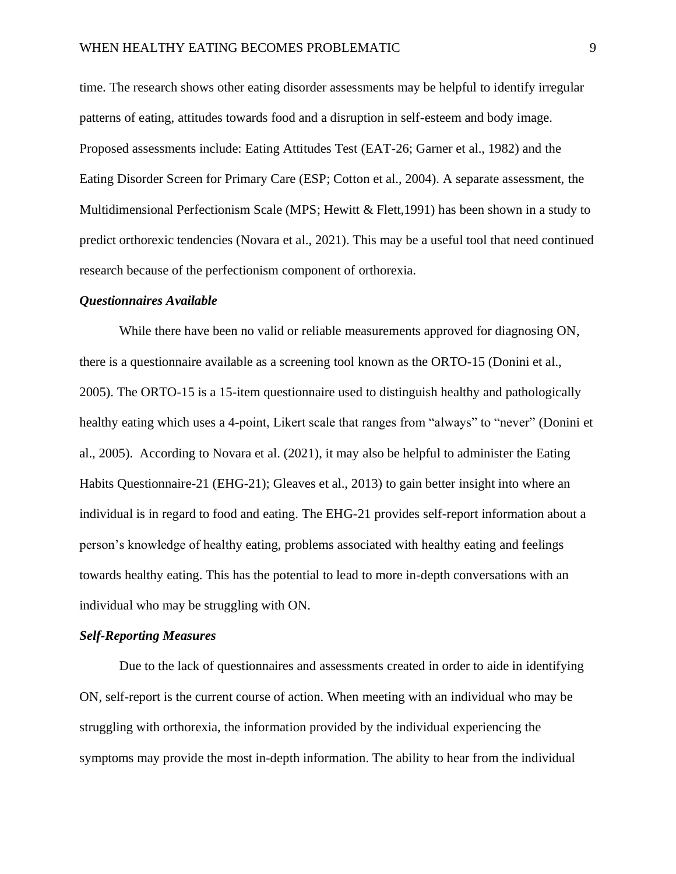time. The research shows other eating disorder assessments may be helpful to identify irregular patterns of eating, attitudes towards food and a disruption in self-esteem and body image. Proposed assessments include: Eating Attitudes Test (EAT-26; Garner et al., 1982) and the Eating Disorder Screen for Primary Care (ESP; Cotton et al., 2004). A separate assessment, the Multidimensional Perfectionism Scale (MPS; Hewitt & Flett,1991) has been shown in a study to predict orthorexic tendencies (Novara et al., 2021). This may be a useful tool that need continued research because of the perfectionism component of orthorexia.

#### *Questionnaires Available*

While there have been no valid or reliable measurements approved for diagnosing ON, there is a questionnaire available as a screening tool known as the ORTO-15 (Donini et al., 2005). The ORTO-15 is a 15-item questionnaire used to distinguish healthy and pathologically healthy eating which uses a 4-point, Likert scale that ranges from "always" to "never" (Donini et al., 2005). According to Novara et al. (2021), it may also be helpful to administer the Eating Habits Questionnaire-21 (EHG-21); Gleaves et al., 2013) to gain better insight into where an individual is in regard to food and eating. The EHG-21 provides self-report information about a person's knowledge of healthy eating, problems associated with healthy eating and feelings towards healthy eating. This has the potential to lead to more in-depth conversations with an individual who may be struggling with ON.

#### *Self-Reporting Measures*

Due to the lack of questionnaires and assessments created in order to aide in identifying ON, self-report is the current course of action. When meeting with an individual who may be struggling with orthorexia, the information provided by the individual experiencing the symptoms may provide the most in-depth information. The ability to hear from the individual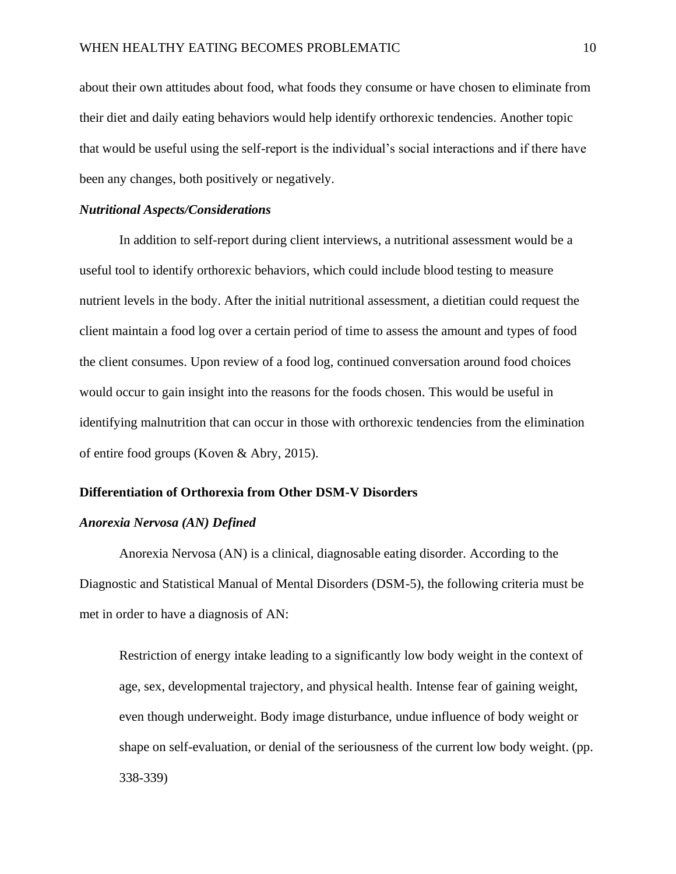about their own attitudes about food, what foods they consume or have chosen to eliminate from their diet and daily eating behaviors would help identify orthorexic tendencies. Another topic that would be useful using the self-report is the individual's social interactions and if there have been any changes, both positively or negatively.

#### *Nutritional Aspects/Considerations*

In addition to self-report during client interviews, a nutritional assessment would be a useful tool to identify orthorexic behaviors, which could include blood testing to measure nutrient levels in the body. After the initial nutritional assessment, a dietitian could request the client maintain a food log over a certain period of time to assess the amount and types of food the client consumes. Upon review of a food log, continued conversation around food choices would occur to gain insight into the reasons for the foods chosen. This would be useful in identifying malnutrition that can occur in those with orthorexic tendencies from the elimination of entire food groups (Koven & Abry, 2015).

## **Differentiation of Orthorexia from Other DSM-V Disorders**

#### *Anorexia Nervosa (AN) Defined*

Anorexia Nervosa (AN) is a clinical, diagnosable eating disorder. According to the Diagnostic and Statistical Manual of Mental Disorders (DSM-5), the following criteria must be met in order to have a diagnosis of AN:

Restriction of energy intake leading to a significantly low body weight in the context of age, sex, developmental trajectory, and physical health. Intense fear of gaining weight, even though underweight. Body image disturbance, undue influence of body weight or shape on self-evaluation, or denial of the seriousness of the current low body weight. (pp. 338-339)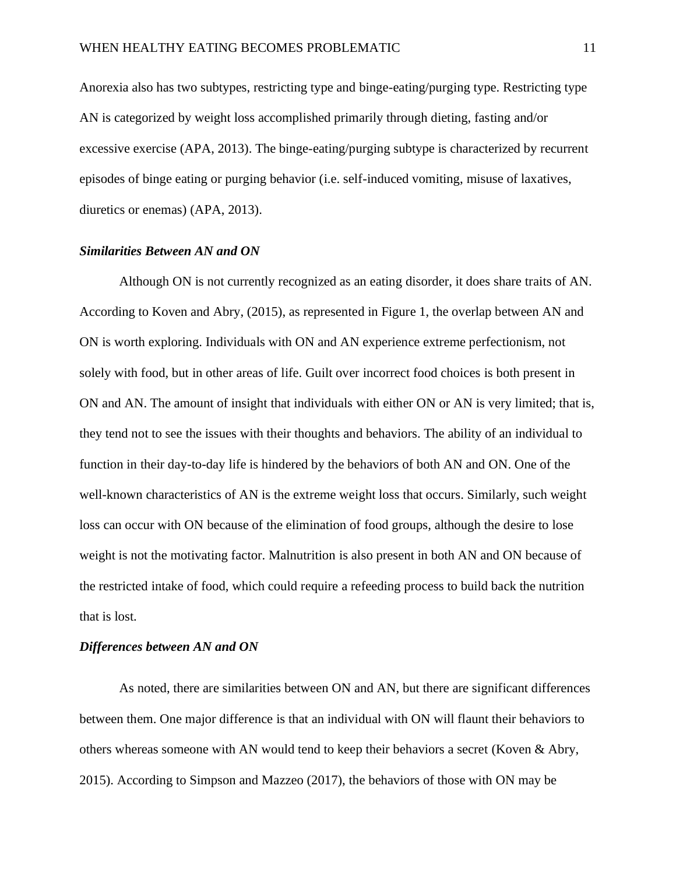Anorexia also has two subtypes, restricting type and binge-eating/purging type. Restricting type AN is categorized by weight loss accomplished primarily through dieting, fasting and/or excessive exercise (APA, 2013). The binge-eating/purging subtype is characterized by recurrent episodes of binge eating or purging behavior (i.e. self-induced vomiting, misuse of laxatives, diuretics or enemas) (APA, 2013).

#### *Similarities Between AN and ON*

Although ON is not currently recognized as an eating disorder, it does share traits of AN. According to Koven and Abry, (2015), as represented in Figure 1, the overlap between AN and ON is worth exploring. Individuals with ON and AN experience extreme perfectionism, not solely with food, but in other areas of life. Guilt over incorrect food choices is both present in ON and AN. The amount of insight that individuals with either ON or AN is very limited; that is, they tend not to see the issues with their thoughts and behaviors. The ability of an individual to function in their day-to-day life is hindered by the behaviors of both AN and ON. One of the well-known characteristics of AN is the extreme weight loss that occurs. Similarly, such weight loss can occur with ON because of the elimination of food groups, although the desire to lose weight is not the motivating factor. Malnutrition is also present in both AN and ON because of the restricted intake of food, which could require a refeeding process to build back the nutrition that is lost.

#### *Differences between AN and ON*

As noted, there are similarities between ON and AN, but there are significant differences between them. One major difference is that an individual with ON will flaunt their behaviors to others whereas someone with AN would tend to keep their behaviors a secret (Koven & Abry, 2015). According to Simpson and Mazzeo (2017), the behaviors of those with ON may be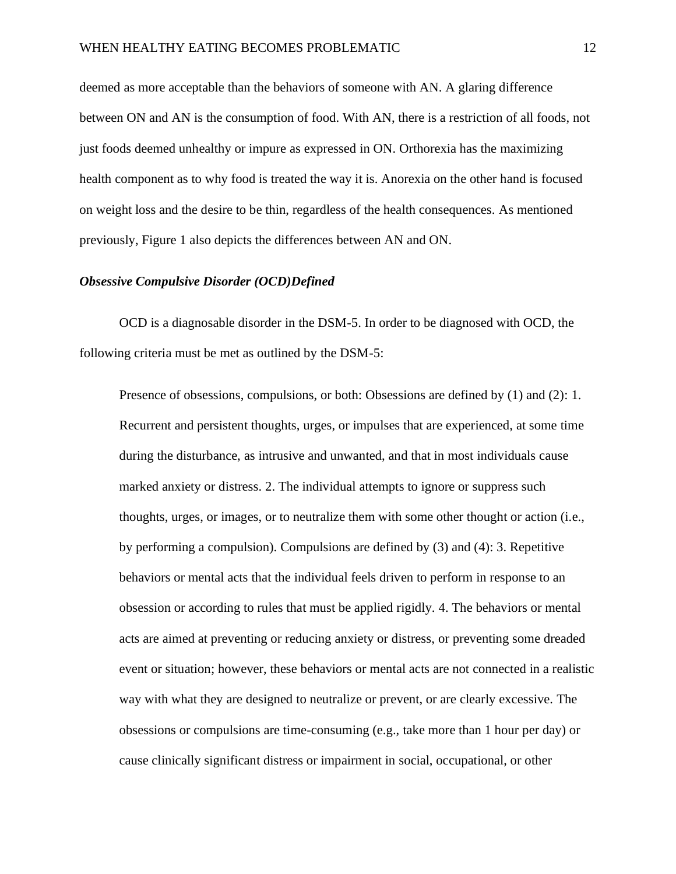deemed as more acceptable than the behaviors of someone with AN. A glaring difference between ON and AN is the consumption of food. With AN, there is a restriction of all foods, not just foods deemed unhealthy or impure as expressed in ON. Orthorexia has the maximizing health component as to why food is treated the way it is. Anorexia on the other hand is focused on weight loss and the desire to be thin, regardless of the health consequences. As mentioned previously, Figure 1 also depicts the differences between AN and ON.

## *Obsessive Compulsive Disorder (OCD)Defined*

OCD is a diagnosable disorder in the DSM-5. In order to be diagnosed with OCD, the following criteria must be met as outlined by the DSM-5:

Presence of obsessions, compulsions, or both: Obsessions are defined by (1) and (2): 1. Recurrent and persistent thoughts, urges, or impulses that are experienced, at some time during the disturbance, as intrusive and unwanted, and that in most individuals cause marked anxiety or distress. 2. The individual attempts to ignore or suppress such thoughts, urges, or images, or to neutralize them with some other thought or action (i.e., by performing a compulsion). Compulsions are defined by (3) and (4): 3. Repetitive behaviors or mental acts that the individual feels driven to perform in response to an obsession or according to rules that must be applied rigidly. 4. The behaviors or mental acts are aimed at preventing or reducing anxiety or distress, or preventing some dreaded event or situation; however, these behaviors or mental acts are not connected in a realistic way with what they are designed to neutralize or prevent, or are clearly excessive. The obsessions or compulsions are time-consuming (e.g., take more than 1 hour per day) or cause clinically significant distress or impairment in social, occupational, or other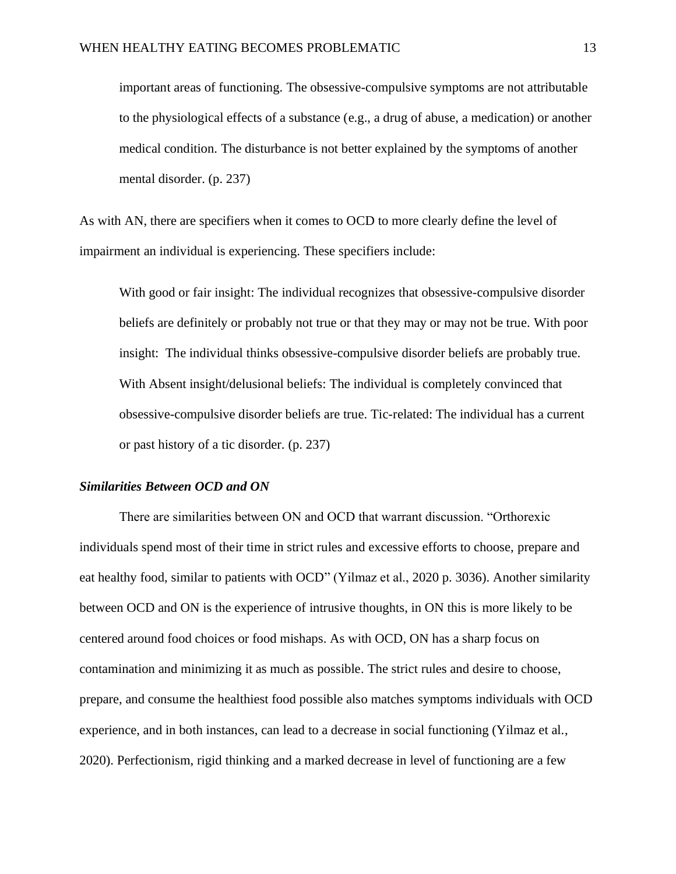important areas of functioning. The obsessive-compulsive symptoms are not attributable to the physiological effects of a substance (e.g., a drug of abuse, a medication) or another medical condition. The disturbance is not better explained by the symptoms of another mental disorder. (p. 237)

As with AN, there are specifiers when it comes to OCD to more clearly define the level of impairment an individual is experiencing. These specifiers include:

With good or fair insight: The individual recognizes that obsessive-compulsive disorder beliefs are definitely or probably not true or that they may or may not be true. With poor insight: The individual thinks obsessive-compulsive disorder beliefs are probably true. With Absent insight/delusional beliefs: The individual is completely convinced that obsessive-compulsive disorder beliefs are true. Tic-related: The individual has a current or past history of a tic disorder. (p. 237)

#### *Similarities Between OCD and ON*

There are similarities between ON and OCD that warrant discussion. "Orthorexic individuals spend most of their time in strict rules and excessive efforts to choose, prepare and eat healthy food, similar to patients with OCD" (Yilmaz et al., 2020 p. 3036). Another similarity between OCD and ON is the experience of intrusive thoughts, in ON this is more likely to be centered around food choices or food mishaps. As with OCD, ON has a sharp focus on contamination and minimizing it as much as possible. The strict rules and desire to choose, prepare, and consume the healthiest food possible also matches symptoms individuals with OCD experience, and in both instances, can lead to a decrease in social functioning (Yilmaz et al., 2020). Perfectionism, rigid thinking and a marked decrease in level of functioning are a few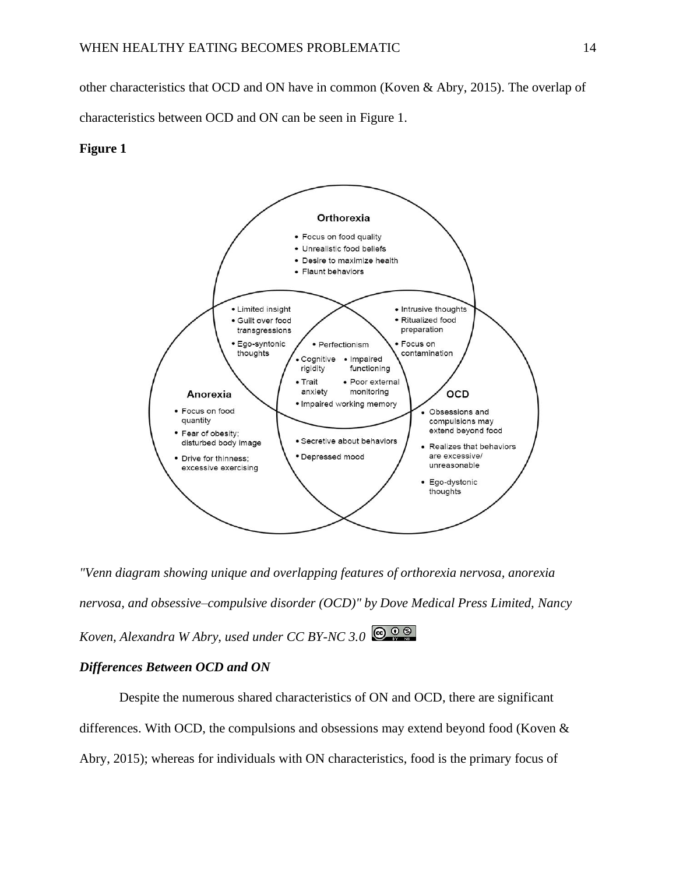other characteristics that OCD and ON have in common (Koven & Abry, 2015). The overlap of

characteristics between OCD and ON can be seen in Figure 1.

#### **Figure 1**



*"Venn diagram showing unique and overlapping features of orthorexia nervosa, anorexia nervosa, and obsessive–compulsive disorder (OCD)" by Dove Medical Press Limited, Nancy Koven, Alexandra W Abry, used under CC BY-NC 3.0*

## *Differences Between OCD and ON*

Despite the numerous shared characteristics of ON and OCD, there are significant differences. With OCD, the compulsions and obsessions may extend beyond food (Koven & Abry, 2015); whereas for individuals with ON characteristics, food is the primary focus of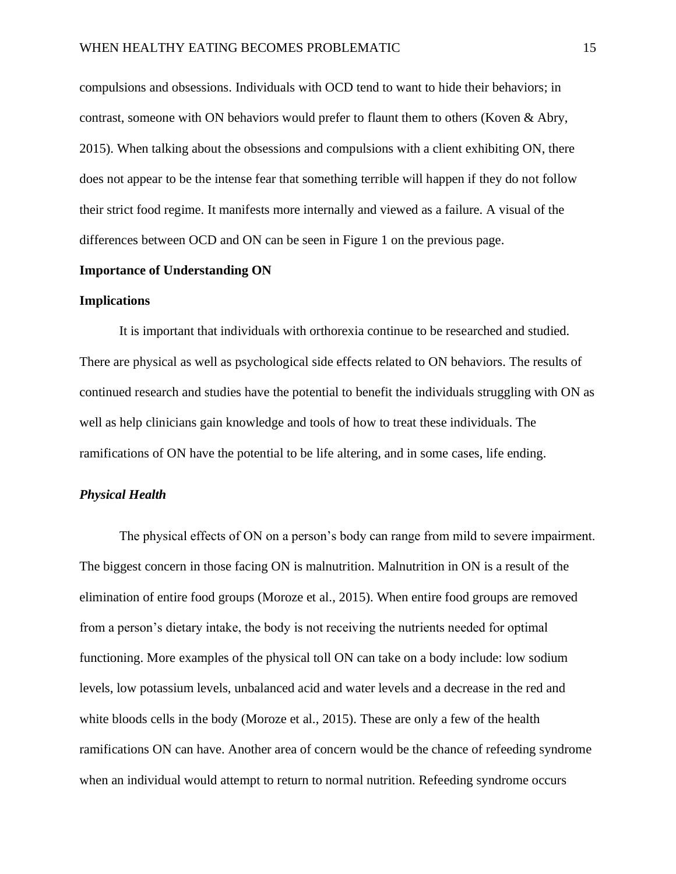compulsions and obsessions. Individuals with OCD tend to want to hide their behaviors; in contrast, someone with ON behaviors would prefer to flaunt them to others (Koven & Abry, 2015). When talking about the obsessions and compulsions with a client exhibiting ON, there does not appear to be the intense fear that something terrible will happen if they do not follow their strict food regime. It manifests more internally and viewed as a failure. A visual of the differences between OCD and ON can be seen in Figure 1 on the previous page.

#### **Importance of Understanding ON**

#### **Implications**

It is important that individuals with orthorexia continue to be researched and studied. There are physical as well as psychological side effects related to ON behaviors. The results of continued research and studies have the potential to benefit the individuals struggling with ON as well as help clinicians gain knowledge and tools of how to treat these individuals. The ramifications of ON have the potential to be life altering, and in some cases, life ending.

#### *Physical Health*

The physical effects of ON on a person's body can range from mild to severe impairment. The biggest concern in those facing ON is malnutrition. Malnutrition in ON is a result of the elimination of entire food groups (Moroze et al., 2015). When entire food groups are removed from a person's dietary intake, the body is not receiving the nutrients needed for optimal functioning. More examples of the physical toll ON can take on a body include: low sodium levels, low potassium levels, unbalanced acid and water levels and a decrease in the red and white bloods cells in the body (Moroze et al., 2015). These are only a few of the health ramifications ON can have. Another area of concern would be the chance of refeeding syndrome when an individual would attempt to return to normal nutrition. Refeeding syndrome occurs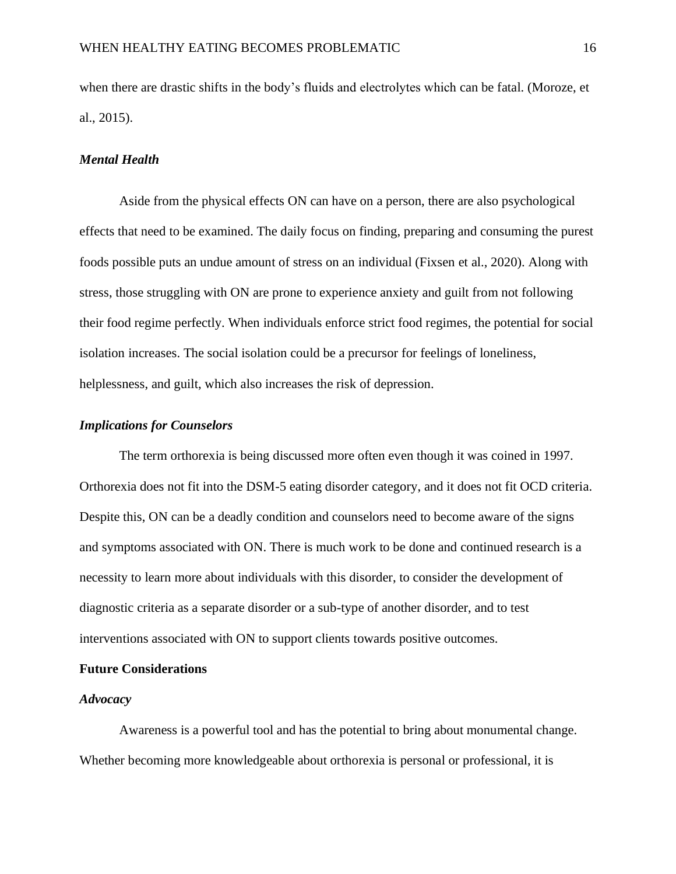when there are drastic shifts in the body's fluids and electrolytes which can be fatal. (Moroze, et al., 2015).

#### *Mental Health*

Aside from the physical effects ON can have on a person, there are also psychological effects that need to be examined. The daily focus on finding, preparing and consuming the purest foods possible puts an undue amount of stress on an individual (Fixsen et al., 2020). Along with stress, those struggling with ON are prone to experience anxiety and guilt from not following their food regime perfectly. When individuals enforce strict food regimes, the potential for social isolation increases. The social isolation could be a precursor for feelings of loneliness, helplessness, and guilt, which also increases the risk of depression.

## *Implications for Counselors*

The term orthorexia is being discussed more often even though it was coined in 1997. Orthorexia does not fit into the DSM-5 eating disorder category, and it does not fit OCD criteria. Despite this, ON can be a deadly condition and counselors need to become aware of the signs and symptoms associated with ON. There is much work to be done and continued research is a necessity to learn more about individuals with this disorder, to consider the development of diagnostic criteria as a separate disorder or a sub-type of another disorder, and to test interventions associated with ON to support clients towards positive outcomes.

### **Future Considerations**

#### *Advocacy*

Awareness is a powerful tool and has the potential to bring about monumental change. Whether becoming more knowledgeable about orthorexia is personal or professional, it is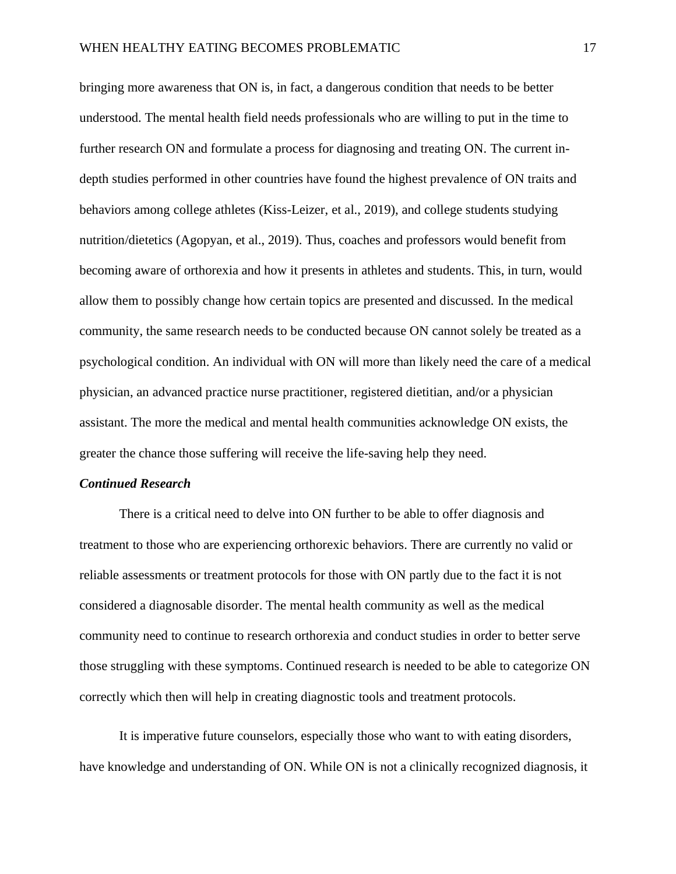bringing more awareness that ON is, in fact, a dangerous condition that needs to be better understood. The mental health field needs professionals who are willing to put in the time to further research ON and formulate a process for diagnosing and treating ON. The current indepth studies performed in other countries have found the highest prevalence of ON traits and behaviors among college athletes (Kiss-Leizer, et al., 2019), and college students studying nutrition/dietetics (Agopyan, et al., 2019). Thus, coaches and professors would benefit from becoming aware of orthorexia and how it presents in athletes and students. This, in turn, would allow them to possibly change how certain topics are presented and discussed. In the medical community, the same research needs to be conducted because ON cannot solely be treated as a psychological condition. An individual with ON will more than likely need the care of a medical physician, an advanced practice nurse practitioner, registered dietitian, and/or a physician assistant. The more the medical and mental health communities acknowledge ON exists, the greater the chance those suffering will receive the life-saving help they need.

#### *Continued Research*

There is a critical need to delve into ON further to be able to offer diagnosis and treatment to those who are experiencing orthorexic behaviors. There are currently no valid or reliable assessments or treatment protocols for those with ON partly due to the fact it is not considered a diagnosable disorder. The mental health community as well as the medical community need to continue to research orthorexia and conduct studies in order to better serve those struggling with these symptoms. Continued research is needed to be able to categorize ON correctly which then will help in creating diagnostic tools and treatment protocols.

It is imperative future counselors, especially those who want to with eating disorders, have knowledge and understanding of ON. While ON is not a clinically recognized diagnosis, it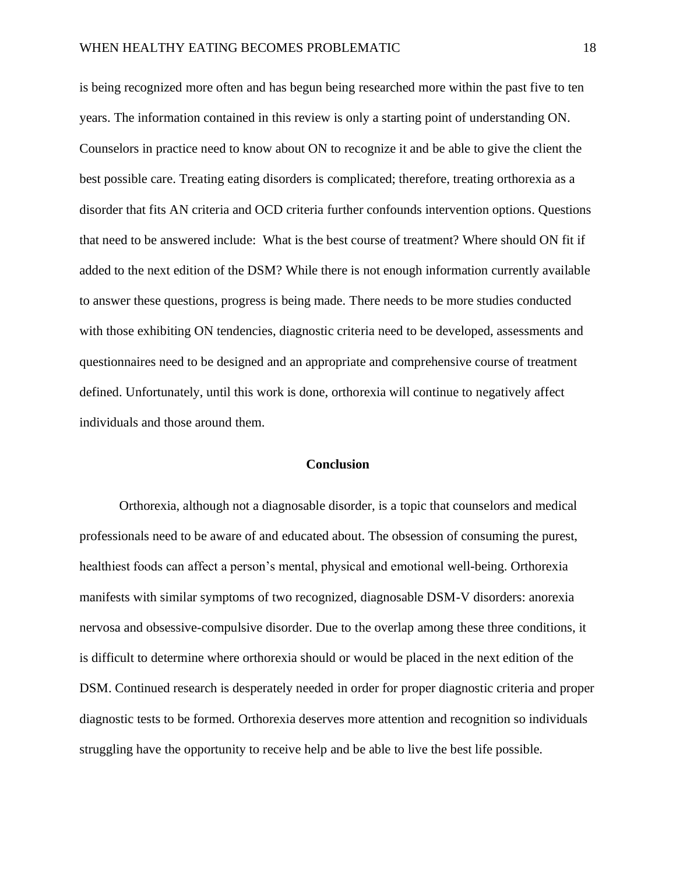is being recognized more often and has begun being researched more within the past five to ten years. The information contained in this review is only a starting point of understanding ON. Counselors in practice need to know about ON to recognize it and be able to give the client the best possible care. Treating eating disorders is complicated; therefore, treating orthorexia as a disorder that fits AN criteria and OCD criteria further confounds intervention options. Questions that need to be answered include: What is the best course of treatment? Where should ON fit if added to the next edition of the DSM? While there is not enough information currently available to answer these questions, progress is being made. There needs to be more studies conducted with those exhibiting ON tendencies, diagnostic criteria need to be developed, assessments and questionnaires need to be designed and an appropriate and comprehensive course of treatment defined. Unfortunately, until this work is done, orthorexia will continue to negatively affect individuals and those around them.

#### **Conclusion**

Orthorexia, although not a diagnosable disorder, is a topic that counselors and medical professionals need to be aware of and educated about. The obsession of consuming the purest, healthiest foods can affect a person's mental, physical and emotional well-being. Orthorexia manifests with similar symptoms of two recognized, diagnosable DSM-V disorders: anorexia nervosa and obsessive-compulsive disorder. Due to the overlap among these three conditions, it is difficult to determine where orthorexia should or would be placed in the next edition of the DSM. Continued research is desperately needed in order for proper diagnostic criteria and proper diagnostic tests to be formed. Orthorexia deserves more attention and recognition so individuals struggling have the opportunity to receive help and be able to live the best life possible.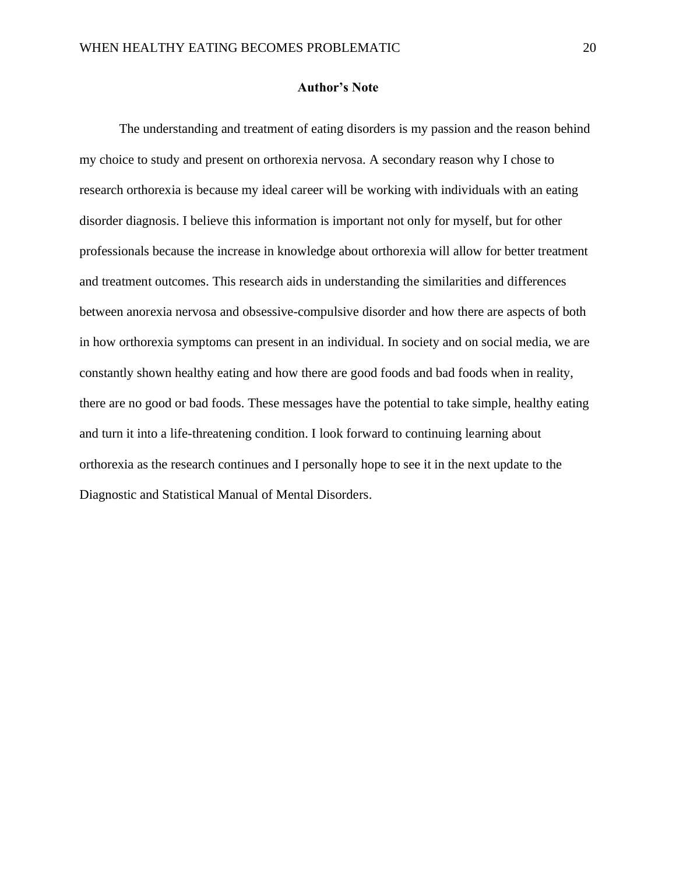#### **Author's Note**

The understanding and treatment of eating disorders is my passion and the reason behind my choice to study and present on orthorexia nervosa. A secondary reason why I chose to research orthorexia is because my ideal career will be working with individuals with an eating disorder diagnosis. I believe this information is important not only for myself, but for other professionals because the increase in knowledge about orthorexia will allow for better treatment and treatment outcomes. This research aids in understanding the similarities and differences between anorexia nervosa and obsessive-compulsive disorder and how there are aspects of both in how orthorexia symptoms can present in an individual. In society and on social media, we are constantly shown healthy eating and how there are good foods and bad foods when in reality, there are no good or bad foods. These messages have the potential to take simple, healthy eating and turn it into a life-threatening condition. I look forward to continuing learning about orthorexia as the research continues and I personally hope to see it in the next update to the Diagnostic and Statistical Manual of Mental Disorders.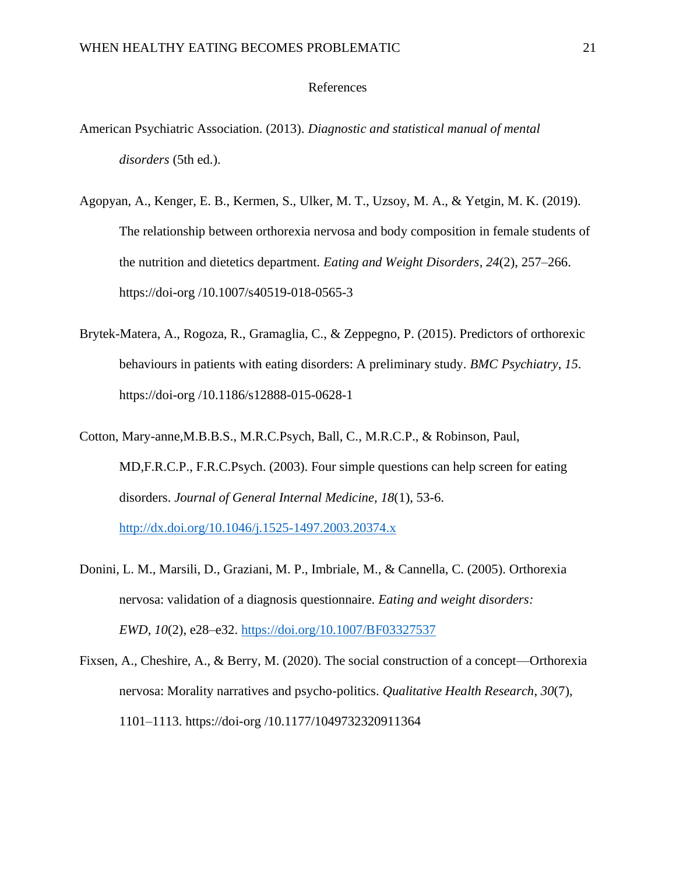#### References

- American Psychiatric Association. (2013). *Diagnostic and statistical manual of mental disorders* (5th ed.).
- Agopyan, A., Kenger, E. B., Kermen, S., Ulker, M. T., Uzsoy, M. A., & Yetgin, M. K. (2019). The relationship between orthorexia nervosa and body composition in female students of the nutrition and dietetics department. *Eating and Weight Disorders*, *24*(2), 257–266. https://doi-org /10.1007/s40519-018-0565-3
- Brytek-Matera, A., Rogoza, R., Gramaglia, C., & Zeppegno, P. (2015). Predictors of orthorexic behaviours in patients with eating disorders: A preliminary study. *BMC Psychiatry*, *15*. https://doi-org /10.1186/s12888-015-0628-1
- Cotton, Mary-anne,M.B.B.S., M.R.C.Psych, Ball, C., M.R.C.P., & Robinson, Paul, MD,F.R.C.P., F.R.C.Psych. (2003). Four simple questions can help screen for eating disorders. *Journal of General Internal Medicine, 18*(1), 53-6. <http://dx.doi.org/10.1046/j.1525-1497.2003.20374.x>
- Donini, L. M., Marsili, D., Graziani, M. P., Imbriale, M., & Cannella, C. (2005). Orthorexia nervosa: validation of a diagnosis questionnaire. *Eating and weight disorders: EWD*, *10*(2), e28–e32.<https://doi.org/10.1007/BF03327537>
- Fixsen, A., Cheshire, A., & Berry, M. (2020). The social construction of a concept—Orthorexia nervosa: Morality narratives and psycho-politics. *Qualitative Health Research*, *30*(7), 1101–1113. https://doi-org /10.1177/1049732320911364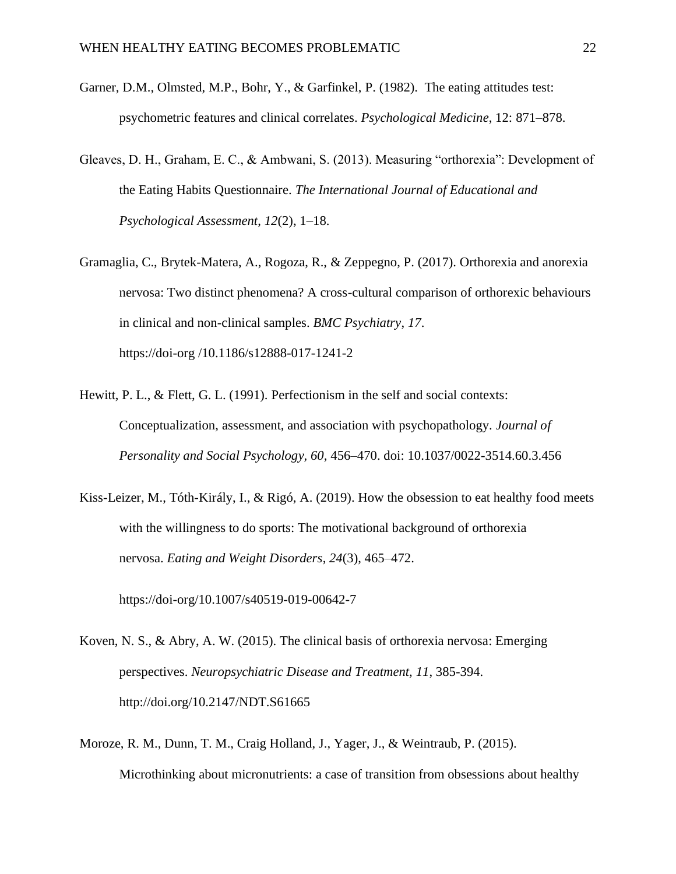- Garner, D.M., Olmsted, M.P., Bohr, Y., & Garfinkel, P. (1982). The eating attitudes test: psychometric features and clinical correlates. *Psychological Medicine*, 12: 871–878.
- Gleaves, D. H., Graham, E. C., & Ambwani, S. (2013). Measuring "orthorexia": Development of the Eating Habits Questionnaire. *The International Journal of Educational and Psychological Assessment*, *12*(2), 1–18.
- Gramaglia, C., Brytek-Matera, A., Rogoza, R., & Zeppegno, P. (2017). Orthorexia and anorexia nervosa: Two distinct phenomena? A cross-cultural comparison of orthorexic behaviours in clinical and non-clinical samples. *BMC Psychiatry*, *17*. https://doi-org /10.1186/s12888-017-1241-2
- Hewitt, P. L., & Flett, G. L. (1991). [Perfectionism in the self and social contexts:](https://hewittlab.sites.olt.ubc.ca/files/2014/11/Hewitt-Flett-1991-Perfectionism-in-the-self-and-social-contexts-conceptualization-assessment-and-association-with-psychopathology.pdf) [Conceptualization, assessment, and association with psychopathology.](https://hewittlab.sites.olt.ubc.ca/files/2014/11/Hewitt-Flett-1991-Perfectionism-in-the-self-and-social-contexts-conceptualization-assessment-and-association-with-psychopathology.pdf) *Journal of Personality and Social Psychology, 60,* 456–470. doi: 10.1037/0022-3514.60.3.456
- Kiss-Leizer, M., Tóth-Király, I., & Rigó, A. (2019). How the obsession to eat healthy food meets with the willingness to do sports: The motivational background of orthorexia nervosa. *Eating and Weight Disorders*, *24*(3), 465–472.

https://doi-org/10.1007/s40519-019-00642-7

- Koven, N. S., & Abry, A. W. (2015). The clinical basis of orthorexia nervosa: Emerging perspectives. *Neuropsychiatric Disease and Treatment, 11*, 385-394. http://doi.org/10.2147/NDT.S61665
- Moroze, R. M., Dunn, T. M., Craig Holland, J., Yager, J., & Weintraub, P. (2015). Microthinking about micronutrients: a case of transition from obsessions about healthy